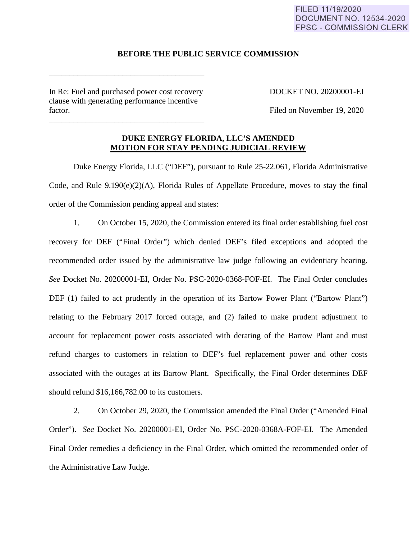### FILED 11/19/2020 **DOCUMENT NO. 12534-2020 FPSC - COMMISSION CLERK**

### **BEFORE THE PUBLIC SERVICE COMMISSION**

In Re: Fuel and purchased power cost recovery DOCKET NO. 20200001-EI clause with generating performance incentive factor. Filed on November 19, 2020

\_\_\_\_\_\_\_\_\_\_\_\_\_\_\_\_\_\_\_\_\_\_\_\_\_\_\_\_\_\_\_\_\_\_\_\_\_\_

\_\_\_\_\_\_\_\_\_\_\_\_\_\_\_\_\_\_\_\_\_\_\_\_\_\_\_\_\_\_\_\_\_\_\_\_\_\_

# **DUKE ENERGY FLORIDA, LLC'S AMENDED MOTION FOR STAY PENDING JUDICIAL REVIEW**

Duke Energy Florida, LLC ("DEF"), pursuant to Rule 25-22.061, Florida Administrative Code, and Rule 9.190(e)(2)(A), Florida Rules of Appellate Procedure, moves to stay the final order of the Commission pending appeal and states:

1. On October 15, 2020, the Commission entered its final order establishing fuel cost recovery for DEF ("Final Order") which denied DEF's filed exceptions and adopted the recommended order issued by the administrative law judge following an evidentiary hearing. *See* Docket No. 20200001-EI, Order No. PSC-2020-0368-FOF-EI. The Final Order concludes DEF (1) failed to act prudently in the operation of its Bartow Power Plant ("Bartow Plant") relating to the February 2017 forced outage, and (2) failed to make prudent adjustment to account for replacement power costs associated with derating of the Bartow Plant and must refund charges to customers in relation to DEF's fuel replacement power and other costs associated with the outages at its Bartow Plant. Specifically, the Final Order determines DEF should refund \$16,166,782.00 to its customers.

2. On October 29, 2020, the Commission amended the Final Order ("Amended Final Order"). *See* Docket No. 20200001-EI, Order No. PSC-2020-0368A-FOF-EI. The Amended Final Order remedies a deficiency in the Final Order, which omitted the recommended order of the Administrative Law Judge.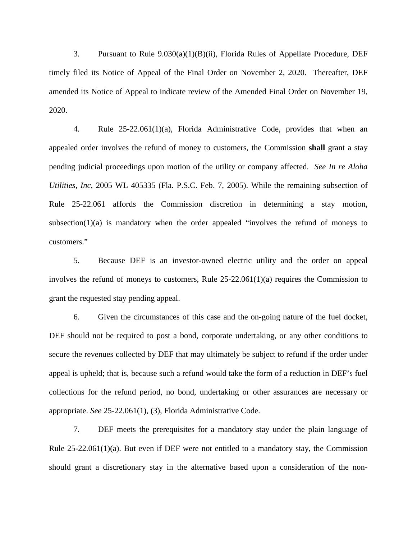3. Pursuant to Rule 9.030(a)(1)(B)(ii), Florida Rules of Appellate Procedure, DEF timely filed its Notice of Appeal of the Final Order on November 2, 2020. Thereafter, DEF amended its Notice of Appeal to indicate review of the Amended Final Order on November 19, 2020.

4. Rule 25-22.061(1)(a), Florida Administrative Code, provides that when an appealed order involves the refund of money to customers, the Commission **shall** grant a stay pending judicial proceedings upon motion of the utility or company affected. *See In re Aloha Utilities, Inc*, 2005 WL 405335 (Fla. P.S.C. Feb. 7, 2005). While the remaining subsection of Rule 25-22.061 affords the Commission discretion in determining a stay motion, subsection( $1$ )(a) is mandatory when the order appealed "involves the refund of moneys to customers."

5. Because DEF is an investor-owned electric utility and the order on appeal involves the refund of moneys to customers, Rule 25-22.061(1)(a) requires the Commission to grant the requested stay pending appeal.

6. Given the circumstances of this case and the on-going nature of the fuel docket, DEF should not be required to post a bond, corporate undertaking, or any other conditions to secure the revenues collected by DEF that may ultimately be subject to refund if the order under appeal is upheld; that is, because such a refund would take the form of a reduction in DEF's fuel collections for the refund period, no bond, undertaking or other assurances are necessary or appropriate. *See* 25-22.061(1), (3), Florida Administrative Code.

7. DEF meets the prerequisites for a mandatory stay under the plain language of Rule 25-22.061(1)(a). But even if DEF were not entitled to a mandatory stay, the Commission should grant a discretionary stay in the alternative based upon a consideration of the non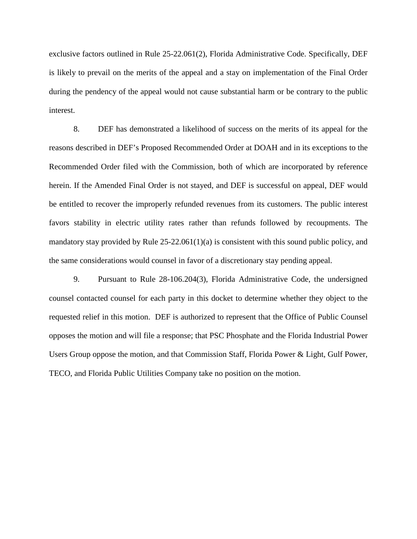exclusive factors outlined in Rule 25-22.061(2), Florida Administrative Code. Specifically, DEF is likely to prevail on the merits of the appeal and a stay on implementation of the Final Order during the pendency of the appeal would not cause substantial harm or be contrary to the public interest.

8. DEF has demonstrated a likelihood of success on the merits of its appeal for the reasons described in DEF's Proposed Recommended Order at DOAH and in its exceptions to the Recommended Order filed with the Commission, both of which are incorporated by reference herein. If the Amended Final Order is not stayed, and DEF is successful on appeal, DEF would be entitled to recover the improperly refunded revenues from its customers. The public interest favors stability in electric utility rates rather than refunds followed by recoupments. The mandatory stay provided by Rule  $25-22.061(1)(a)$  is consistent with this sound public policy, and the same considerations would counsel in favor of a discretionary stay pending appeal.

9. Pursuant to Rule 28-106.204(3), Florida Administrative Code, the undersigned counsel contacted counsel for each party in this docket to determine whether they object to the requested relief in this motion. DEF is authorized to represent that the Office of Public Counsel opposes the motion and will file a response; that PSC Phosphate and the Florida Industrial Power Users Group oppose the motion, and that Commission Staff, Florida Power & Light, Gulf Power, TECO, and Florida Public Utilities Company take no position on the motion.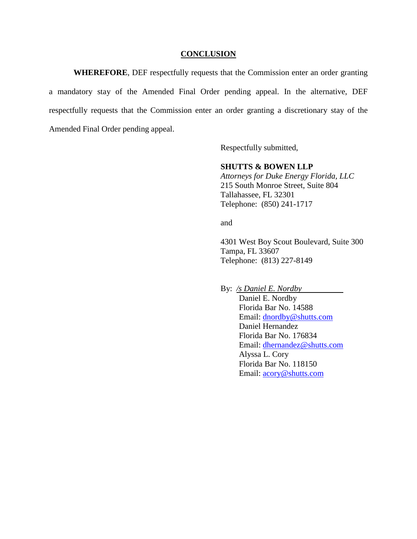#### **CONCLUSION**

**WHEREFORE**, DEF respectfully requests that the Commission enter an order granting a mandatory stay of the Amended Final Order pending appeal. In the alternative, DEF respectfully requests that the Commission enter an order granting a discretionary stay of the Amended Final Order pending appeal.

Respectfully submitted,

## **SHUTTS & BOWEN LLP**

*Attorneys for Duke Energy Florida, LLC*  215 South Monroe Street, Suite 804 Tallahassee, FL 32301 Telephone: (850) 241-1717

and

4301 West Boy Scout Boulevard, Suite 300 Tampa, FL 33607 Telephone: (813) 227-8149

By: */s Daniel E. Nordby* 

Daniel E. Nordby Florida Bar No. 14588 Email: dnordby@shutts.com Daniel Hernandez Florida Bar No. 176834 Email: dhernandez@shutts.com Alyssa L. Cory Florida Bar No. 118150 Email: acory@shutts.com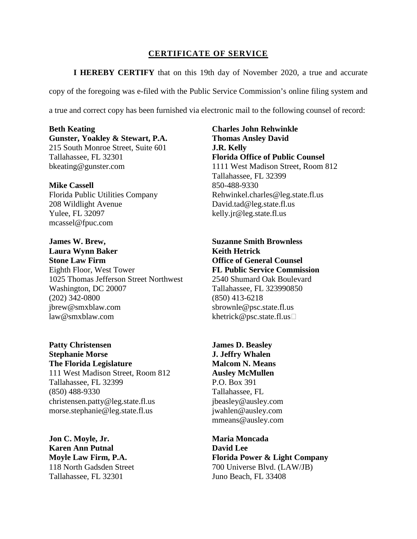## **CERTIFICATE OF SERVICE**

**I HEREBY CERTIFY** that on this 19th day of November 2020, a true and accurate copy of the foregoing was e-filed with the Public Service Commission's online filing system and a true and correct copy has been furnished via electronic mail to the following counsel of record:

**Beth Keating Gunster, Yoakley & Stewart, P.A.**  215 South Monroe Street, Suite 601 Tallahassee, FL 32301 bkeating@gunster.com

**Mike Cassell**  Florida Public Utilities Company 208 Wildlight Avenue Yulee, FL 32097 mcassel@fpuc.com

**James W. Brew, Laura Wynn Baker Stone Law Firm** Eighth Floor, West Tower 1025 Thomas Jefferson Street Northwest Washington, DC 20007 (202) 342-0800 jbrew@smxblaw.com law@smxblaw.com

**Patty Christensen Stephanie Morse The Florida Legislature** 111 West Madison Street, Room 812 Tallahassee, FL 32399 (850) 488-9330 christensen.patty@leg.state.fl.us morse.stephanie@leg.state.fl.us

**Jon C. Moyle, Jr. Karen Ann Putnal Moyle Law Firm, P.A.** 118 North Gadsden Street Tallahassee, FL 32301

**Charles John Rehwinkle Thomas Ansley David J.R. Kelly Florida Office of Public Counsel**  1111 West Madison Street, Room 812 Tallahassee, FL 32399 850-488-9330 Rehwinkel.charles@leg.state.fl.us David.tad@leg.state.fl.us kelly.jr@leg.state.fl.us

**Suzanne Smith Brownless Keith Hetrick Office of General Counsel FL Public Service Commission** 2540 Shumard Oak Boulevard Tallahassee, FL 323990850 (850) 413-6218 sbrownle@psc.state.fl.us khetrick@psc.state.fl.us

**James D. Beasley J. Jeffry Whalen Malcom N. Means Ausley McMullen**  P.O. Box 391 Tallahassee, FL jbeasley@ausley.com jwahlen@ausley.com mmeans@ausley.com

**Maria Moncada David Lee Florida Power & Light Company**  700 Universe Blvd. (LAW/JB) Juno Beach, FL 33408